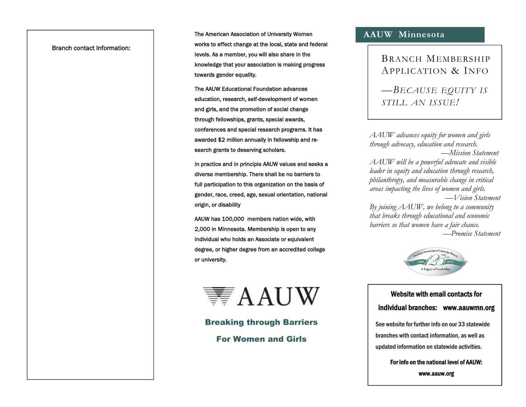#### Branch contact Information:

The American Association of University Women works to effect change at the local, state and federal levels. As a member, you will also share in the knowledge that your association is making progress towards gender equality.

The AAUW Educational Foundation advances education, research, self-development of women and girls, and the promotion of social change through fellowships, grants, special awards, conferences and special research programs. It has awarded \$2 million annually in fellowship and research grants to deserving scholars.

In practice and in principle AAUW values and seeks a diverse membership. There shall be no barriers to full participation to this organization on the basis of gender, race, creed, age, sexual orientation, national origin, or disability

AAUW has 100,000 members nation wide, with 2,000 in Minnesota. Membership is open to any individual who holds an Associate or equivalent degree, or higher degree from an accredited college or university.



## Breaking through Barriers

For Women and Girls

### **AAUW Minnesota**

BRANCH MEMBERSHIPAPPLICATION & INFO

*—BECAUSE EQUITY IS STILL AN ISSUE!* 

*AAUW advances equity for women and girls through advocacy, education and research. —Mission Statement AAUW will be a powerful advocate and visible leader in equity and education through research, philanthropy, and measurable change in critical areas impacting the lives of women and girls. —Vision Statement* 

*By joining AAUW, we belong to a community that breaks through educational and economic barriers so that women have a fair chance. —Promise Statement* 



Website with email contacts for individual branches: www.aauwmn.org See website for further info on our 33 statewide branches with contact information, as well as updated information on statewide activities.

> For info on the national level of AAUW: www.aauw.org